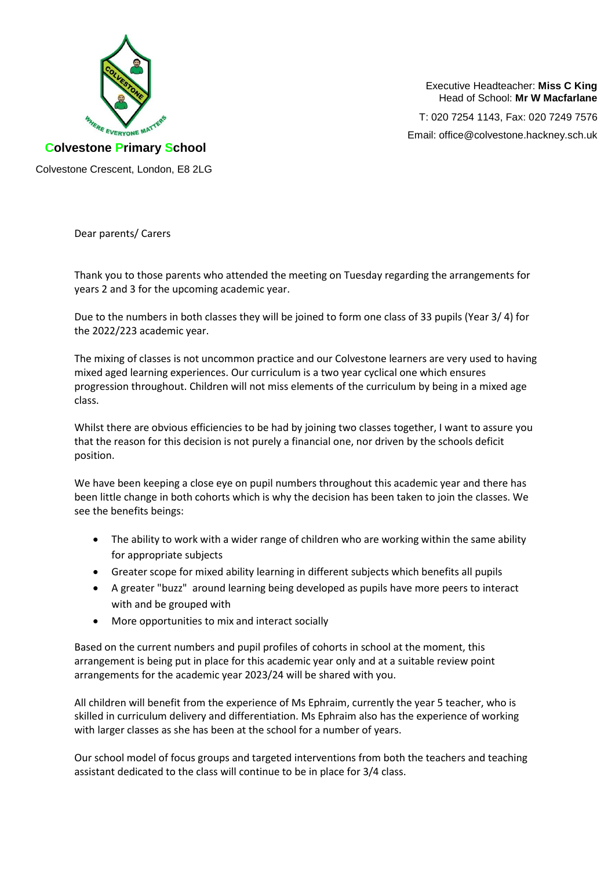

Executive Headteacher: **Miss C King** Head of School: **Mr W Macfarlane**

T: 020 7254 1143, Fax: 020 7249 7576 Email: office@colvestone.hackney.sch.uk

**Colvestone Primary School**

Colvestone Crescent, London, E8 2LG

Dear parents/ Carers

Thank you to those parents who attended the meeting on Tuesday regarding the arrangements for years 2 and 3 for the upcoming academic year.

Due to the numbers in both classes they will be joined to form one class of 33 pupils (Year 3/ 4) for the 2022/223 academic year.

The mixing of classes is not uncommon practice and our Colvestone learners are very used to having mixed aged learning experiences. Our curriculum is a two year cyclical one which ensures progression throughout. Children will not miss elements of the curriculum by being in a mixed age class.

Whilst there are obvious efficiencies to be had by joining two classes together, I want to assure you that the reason for this decision is not purely a financial one, nor driven by the schools deficit position.

We have been keeping a close eye on pupil numbers throughout this academic year and there has been little change in both cohorts which is why the decision has been taken to join the classes. We see the benefits beings:

- The ability to work with a wider range of children who are working within the same ability for appropriate subjects
- Greater scope for mixed ability learning in different subjects which benefits all pupils
- A greater "buzz" around learning being developed as pupils have more peers to interact with and be grouped with
- More opportunities to mix and interact socially

Based on the current numbers and pupil profiles of cohorts in school at the moment, this arrangement is being put in place for this academic year only and at a suitable review point arrangements for the academic year 2023/24 will be shared with you.

All children will benefit from the experience of Ms Ephraim, currently the year 5 teacher, who is skilled in curriculum delivery and differentiation. Ms Ephraim also has the experience of working with larger classes as she has been at the school for a number of years.

Our school model of focus groups and targeted interventions from both the teachers and teaching assistant dedicated to the class will continue to be in place for 3/4 class.